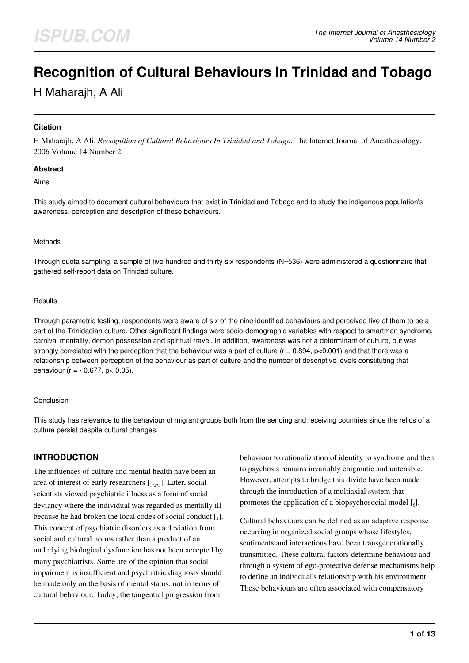# **Recognition of Cultural Behaviours In Trinidad and Tobago**

H Maharajh, A Ali

#### **Citation**

H Maharajh, A Ali. *Recognition of Cultural Behaviours In Trinidad and Tobago*. The Internet Journal of Anesthesiology. 2006 Volume 14 Number 2.

#### **Abstract**

Aims

This study aimed to document cultural behaviours that exist in Trinidad and Tobago and to study the indigenous population's awareness, perception and description of these behaviours.

#### Methods

Through quota sampling, a sample of five hundred and thirty-six respondents (N=536) were administered a questionnaire that gathered self-report data on Trinidad culture.

#### **Results**

Through parametric testing, respondents were aware of six of the nine identified behaviours and perceived five of them to be a part of the Trinidadian culture. Other significant findings were socio-demographic variables with respect to smartman syndrome, carnival mentality, demon possession and spiritual travel. In addition, awareness was not a determinant of culture, but was strongly correlated with the perception that the behaviour was a part of culture ( $r = 0.894$ ,  $p < 0.001$ ) and that there was a relationship between perception of the behaviour as part of culture and the number of descriptive levels constituting that behaviour ( $r = -0.677$ ,  $p < 0.05$ ).

#### Conclusion

This study has relevance to the behaviour of migrant groups both from the sending and receiving countries since the relics of a culture persist despite cultural changes.

### **INTRODUCTION**

The influences of culture and mental health have been an area of interest of early researchers  $[,2,3]$ . Later, social scientists viewed psychiatric illness as a form of social deviancy where the individual was regarded as mentally ill because he had broken the local codes of social conduct  $\left[\begin{smallmatrix} 1 \end{smallmatrix}\right]$ . This concept of psychiatric disorders as a deviation from social and cultural norms rather than a product of an underlying biological dysfunction has not been accepted by many psychiatrists. Some are of the opinion that social impairment is insufficient and psychiatric diagnosis should be made only on the basis of mental status, not in terms of cultural behaviour. Today, the tangential progression from

behaviour to rationalization of identity to syndrome and then to psychosis remains invariably enigmatic and untenable. However, attempts to bridge this divide have been made through the introduction of a multiaxial system that promotes the application of a biopsychosocial model  $[s]$ .

Cultural behaviours can be defined as an adaptive response occurring in organized social groups whose lifestyles, sentiments and interactions have been transgenerationally transmitted. These cultural factors determine behaviour and through a system of ego-protective defense mechanisms help to define an individual's relationship with his environment. These behaviours are often associated with compensatory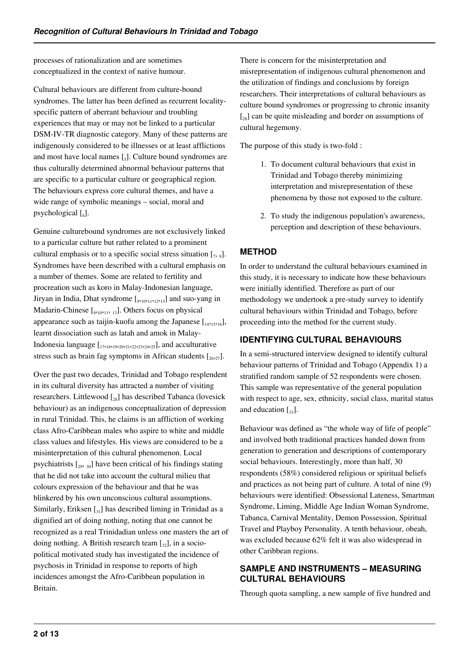processes of rationalization and are sometimes conceptualized in the context of native humour.

Cultural behaviours are different from culture-bound syndromes. The latter has been defined as recurrent localityspecific pattern of aberrant behaviour and troubling experiences that may or may not be linked to a particular DSM-IV-TR diagnostic category. Many of these patterns are indigenously considered to be illnesses or at least afflictions and most have local names  $\left[\begin{smallmatrix} 5 \end{smallmatrix}\right]$ . Culture bound syndromes are thus culturally determined abnormal behaviour patterns that are specific to a particular culture or geographical region. The behaviours express core cultural themes, and have a wide range of symbolic meanings – social, moral and psychological [6].

Genuine culturebound syndromes are not exclusively linked to a particular culture but rather related to a prominent cultural emphasis or to a specific social stress situation  $[\,7, 8]$ . Syndromes have been described with a cultural emphasis on a number of themes. Some are related to fertility and procreation such as koro in Malay-Indonesian language, Jiryan in India, Dhat syndrome [9,10,11,12,13] and suo-yang in Madarin-Chinese [<sub>9,10,11,13</sub>]. Others focus on physical appearance such as taijin-kuofu among the Japanese  $[14,15,16]$ , learnt dissociation such as latah and amok in Malay-Indonesia language  $[17,18,19,20,21,22,23,24,25]$ , and acculturative stress such as brain fag symptoms in African students  $[26,27]$ .

Over the past two decades, Trinidad and Tobago resplendent in its cultural diversity has attracted a number of visiting researchers. Littlewood [28] has described Tabanca (lovesick behaviour) as an indigenous conceptualization of depression in rural Trinidad. This, he claims is an affliction of working class Afro-Caribbean males who aspire to white and middle class values and lifestyles. His views are considered to be a misinterpretation of this cultural phenomenon. Local psychiatrists  $\left[\begin{smallmatrix} 20 & 30 \end{smallmatrix}\right]$  have been critical of his findings stating that he did not take into account the cultural milieu that colours expression of the behaviour and that he was blinkered by his own unconscious cultural assumptions. Similarly, Eriksen  $\lceil_{31}\rceil$  has described liming in Trinidad as a dignified art of doing nothing, noting that one cannot be recognized as a real Trinidadian unless one masters the art of doing nothing. A British research team  $\left[\n\begin{array}{c}\n\varphi\n\end{array}\n\right]$ , in a sociopolitical motivated study has investigated the incidence of psychosis in Trinidad in response to reports of high incidences amongst the Afro-Caribbean population in Britain.

There is concern for the misinterpretation and misrepresentation of indigenous cultural phenomenon and the utilization of findings and conclusions by foreign researchers. Their interpretations of cultural behaviours as culture bound syndromes or progressing to chronic insanity  $\left[\right]_{28}$  can be quite misleading and border on assumptions of cultural hegemony.

The purpose of this study is two-fold :

- 1. To document cultural behaviours that exist in Trinidad and Tobago thereby minimizing interpretation and misrepresentation of these phenomena by those not exposed to the culture.
- 2. To study the indigenous population's awareness, perception and description of these behaviours.

### **METHOD**

In order to understand the cultural behaviours examined in this study, it is necessary to indicate how these behaviours were initially identified. Therefore as part of our methodology we undertook a pre-study survey to identify cultural behaviours within Trinidad and Tobago, before proceeding into the method for the current study.

### **IDENTIFYING CULTURAL BEHAVIOURS**

In a semi-structured interview designed to identify cultural behaviour patterns of Trinidad and Tobago (Appendix 1) a stratified random sample of 52 respondents were chosen. This sample was representative of the general population with respect to age, sex, ethnicity, social class, marital status and education  $\lceil_{33}\rceil$ .

Behaviour was defined as "the whole way of life of people" and involved both traditional practices handed down from generation to generation and descriptions of contemporary social behaviours. Interestingly, more than half, 30 respondents (58%) considered religious or spiritual beliefs and practices as not being part of culture. A total of nine (9) behaviours were identified: Obsessional Lateness, Smartman Syndrome, Liming, Middle Age Indian Woman Syndrome, Tabanca, Carnival Mentality, Demon Possession, Spiritual Travel and Playboy Personality. A tenth behaviour, obeah, was excluded because 62% felt it was also widespread in other Caribbean regions.

### **SAMPLE AND INSTRUMENTS – MEASURING CULTURAL BEHAVIOURS**

Through quota sampling, a new sample of five hundred and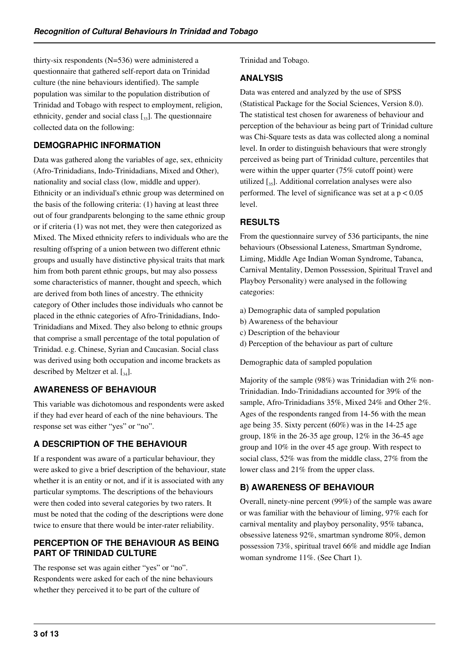thirty-six respondents (N=536) were administered a questionnaire that gathered self-report data on Trinidad culture (the nine behaviours identified). The sample population was similar to the population distribution of Trinidad and Tobago with respect to employment, religion, ethnicity, gender and social class  $\left[\right]_{33}$ . The questionnaire collected data on the following:

### **DEMOGRAPHIC INFORMATION**

Data was gathered along the variables of age, sex, ethnicity (Afro-Trinidadians, Indo-Trinidadians, Mixed and Other), nationality and social class (low, middle and upper). Ethnicity or an individual's ethnic group was determined on the basis of the following criteria: (1) having at least three out of four grandparents belonging to the same ethnic group or if criteria (1) was not met, they were then categorized as Mixed. The Mixed ethnicity refers to individuals who are the resulting offspring of a union between two different ethnic groups and usually have distinctive physical traits that mark him from both parent ethnic groups, but may also possess some characteristics of manner, thought and speech, which are derived from both lines of ancestry. The ethnicity category of Other includes those individuals who cannot be placed in the ethnic categories of Afro-Trinidadians, Indo-Trinidadians and Mixed. They also belong to ethnic groups that comprise a small percentage of the total population of Trinidad. e.g. Chinese, Syrian and Caucasian. Social class was derived using both occupation and income brackets as described by Meltzer et al.  $\lceil_{34}\rceil$ .

### **AWARENESS OF BEHAVIOUR**

This variable was dichotomous and respondents were asked if they had ever heard of each of the nine behaviours. The response set was either "yes" or "no".

### **A DESCRIPTION OF THE BEHAVIOUR**

If a respondent was aware of a particular behaviour, they were asked to give a brief description of the behaviour, state whether it is an entity or not, and if it is associated with any particular symptoms. The descriptions of the behaviours were then coded into several categories by two raters. It must be noted that the coding of the descriptions were done twice to ensure that there would be inter-rater reliability.

### **PERCEPTION OF THE BEHAVIOUR AS BEING PART OF TRINIDAD CULTURE**

The response set was again either "yes" or "no". Respondents were asked for each of the nine behaviours whether they perceived it to be part of the culture of

Trinidad and Tobago.

### **ANALYSIS**

Data was entered and analyzed by the use of SPSS (Statistical Package for the Social Sciences, Version 8.0). The statistical test chosen for awareness of behaviour and perception of the behaviour as being part of Trinidad culture was Chi-Square tests as data was collected along a nominal level. In order to distinguish behaviours that were strongly perceived as being part of Trinidad culture, percentiles that were within the upper quarter (75% cutoff point) were utilized  $[x_5]$ . Additional correlation analyses were also performed. The level of significance was set at  $a$   $p < 0.05$ level.

### **RESULTS**

From the questionnaire survey of 536 participants, the nine behaviours (Obsessional Lateness, Smartman Syndrome, Liming, Middle Age Indian Woman Syndrome, Tabanca, Carnival Mentality, Demon Possession, Spiritual Travel and Playboy Personality) were analysed in the following categories:

- a) Demographic data of sampled population
- b) Awareness of the behaviour
- c) Description of the behaviour
- d) Perception of the behaviour as part of culture

Demographic data of sampled population

Majority of the sample (98%) was Trinidadian with 2% non-Trinidadian. Indo-Trinidadians accounted for 39% of the sample, Afro-Trinidadians 35%, Mixed 24% and Other 2%. Ages of the respondents ranged from 14-56 with the mean age being 35. Sixty percent (60%) was in the 14-25 age group, 18% in the 26-35 age group, 12% in the 36-45 age group and 10% in the over 45 age group. With respect to social class, 52% was from the middle class, 27% from the lower class and 21% from the upper class.

### **B) AWARENESS OF BEHAVIOUR**

Overall, ninety-nine percent (99%) of the sample was aware or was familiar with the behaviour of liming, 97% each for carnival mentality and playboy personality, 95% tabanca, obsessive lateness 92%, smartman syndrome 80%, demon possession 73%, spiritual travel 66% and middle age Indian woman syndrome 11%. (See Chart 1).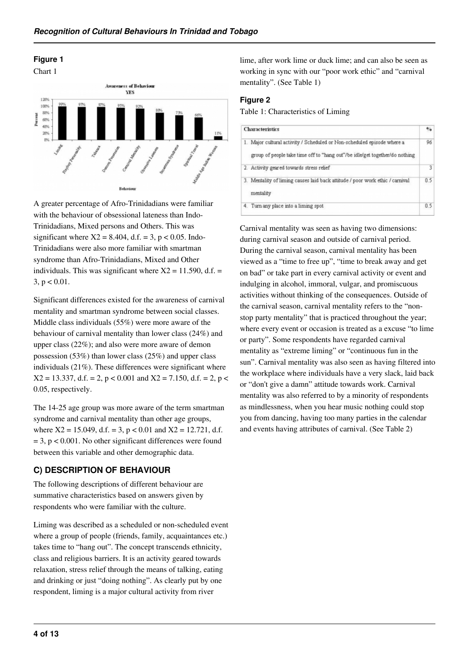## **Figure 1**



A greater percentage of Afro-Trinidadians were familiar with the behaviour of obsessional lateness than Indo-Trinidadians, Mixed persons and Others. This was significant where  $X2 = 8.404$ , d.f. = 3, p < 0.05. Indo-Trinidadians were also more familiar with smartman syndrome than Afro-Trinidadians, Mixed and Other individuals. This was significant where  $X2 = 11.590$ , d.f. =  $3, p < 0.01$ .

Significant differences existed for the awareness of carnival mentality and smartman syndrome between social classes. Middle class individuals (55%) were more aware of the behaviour of carnival mentality than lower class (24%) and upper class (22%); and also were more aware of demon possession (53%) than lower class (25%) and upper class individuals (21%). These differences were significant where  $X2 = 13.337$ , d.f. = 2, p < 0.001 and  $X2 = 7.150$ , d.f. = 2, p < 0.05, respectively.

The 14-25 age group was more aware of the term smartman syndrome and carnival mentality than other age groups, where  $X2 = 15.049$ , d.f. = 3, p < 0.01 and  $X2 = 12.721$ , d.f.  $= 3$ , p < 0.001. No other significant differences were found between this variable and other demographic data.

### **C) DESCRIPTION OF BEHAVIOUR**

The following descriptions of different behaviour are summative characteristics based on answers given by respondents who were familiar with the culture.

Liming was described as a scheduled or non-scheduled event where a group of people (friends, family, acquaintances etc.) takes time to "hang out". The concept transcends ethnicity, class and religious barriers. It is an activity geared towards relaxation, stress relief through the means of talking, eating and drinking or just "doing nothing". As clearly put by one respondent, liming is a major cultural activity from river

lime, after work lime or duck lime; and can also be seen as working in sync with our "poor work ethic" and "carnival mentality". (See Table 1)

### **Figure 2**

Table 1: Characteristics of Liming

|    | <b>Characteristics</b>                                                                                                                                 | $% = 100$ |
|----|--------------------------------------------------------------------------------------------------------------------------------------------------------|-----------|
|    | 1. Major cultural activity / Scheduled or Non-scheduled episode where a<br>group of people take time off to "hang out"/be idle/get together/do nothing | 96        |
| 2. | Activity geared towards stress relief                                                                                                                  | 3         |
|    | 3. Mentality of liming causes laid back attitude / poor work ethic / carnival<br>mentality                                                             | 0.5       |
|    | 4. Turn any place into a liming spot                                                                                                                   | 0.5       |

Carnival mentality was seen as having two dimensions: during carnival season and outside of carnival period. During the carnival season, carnival mentality has been viewed as a "time to free up", "time to break away and get on bad" or take part in every carnival activity or event and indulging in alcohol, immoral, vulgar, and promiscuous activities without thinking of the consequences. Outside of the carnival season, carnival mentality refers to the "nonstop party mentality" that is practiced throughout the year; where every event or occasion is treated as a excuse "to lime or party". Some respondents have regarded carnival mentality as "extreme liming" or "continuous fun in the sun". Carnival mentality was also seen as having filtered into the workplace where individuals have a very slack, laid back or "don't give a damn" attitude towards work. Carnival mentality was also referred to by a minority of respondents as mindlessness, when you hear music nothing could stop you from dancing, having too many parties in the calendar and events having attributes of carnival. (See Table 2)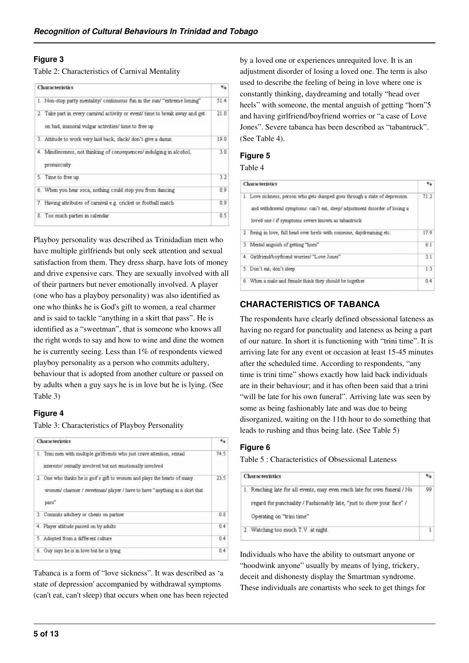#### **Figure 3**

Table 2: Characteristics of Carnival Mentality

| <b>Characteristics</b>                                                                                                             | 96   |
|------------------------------------------------------------------------------------------------------------------------------------|------|
| 1. Non-stop party mentality/ continuous fun in the sun/ "extreme liming"                                                           | 51.4 |
| 2. Take part in every carnival activity or event/ time to break away and get<br>on bad, immoral vulgar activities/ time to free up | 21.0 |
| 3. Attitude to work very laid back, slack/don't give a damn                                                                        | 19.0 |
| 4. Mindlessness, not thinking of consequences/ indulging in alcohol,<br>promiscuity                                                | 3.0  |
| 5. Time to free up                                                                                                                 | 3.2  |
| 6. When you hear soca, nothing could stop you from dancing                                                                         | 0.9  |
| 7. Having attributes of carnival e.g. cricket or football match                                                                    | 0.9  |
| 8. Too much parties in calendar                                                                                                    | 0.5  |

Playboy personality was described as Trinidadian men who have multiple girlfriends but only seek attention and sexual satisfaction from them. They dress sharp, have lots of money and drive expensive cars. They are sexually involved with all of their partners but never emotionally involved. A player (one who has a playboy personality) was also identified as one who thinks he is God's gift to women, a real charmer and is said to tackle "anything in a skirt that pass". He is identified as a "sweetman", that is someone who knows all the right words to say and how to wine and dine the women he is currently seeing. Less than 1% of respondents viewed playboy personality as a person who commits adultery, behaviour that is adopted from another culture or passed on by adults when a guy says he is in love but he is lying. (See Table 3)

#### **Figure 4**

Table 3: Characteristics of Playboy Personality

| <b>Characteristics</b>                                                                                                                                        | $\mathbf{e}_{\alpha}$ |
|---------------------------------------------------------------------------------------------------------------------------------------------------------------|-----------------------|
| 1. Trini men with multiple girlfriends who just crave attention, sexual<br>interests/ sexually involved but not emotionally involved                          | 74.5                  |
| 2. One who thinks he is god's gift to women and plays the hearts of many<br>women/charmer / sweetman/player / have to have "anything in a skirt that<br>pass" | 23.5                  |
| 3. Commits adultery or cheats on partner                                                                                                                      | 0.8                   |
| 4. Player attitude passed on by adults                                                                                                                        | 0.4                   |
| 5. Adopted from a different culture                                                                                                                           | 0.4                   |
| 6. Guy says he is in love but he is lying                                                                                                                     | 0.4                   |

Tabanca is a form of "love sickness". It was described as 'a state of depression' accompanied by withdrawal symptoms (can't eat, can't sleep) that occurs when one has been rejected by a loved one or experiences unrequited love. It is an adjustment disorder of losing a loved one. The term is also used to describe the feeling of being in love where one is constantly thinking, daydreaming and totally "head over heels" with someone, the mental anguish of getting "horn"5 and having girlfriend/boyfriend worries or "a case of Love Jones". Severe tabanca has been described as "tabantruck". (See Table 4).

### **Figure 5**

#### Table 4

| <b>Characteristics</b>                                                                                                                                                                                          | $\%$ |
|-----------------------------------------------------------------------------------------------------------------------------------------------------------------------------------------------------------------|------|
| 1. Love sickness; person who gets dumped goes through a state of depression<br>and withdrawal symptoms: can't eat, sleep/ adjustment disorder of losing a<br>loved one / if symptoms severe known as tabantruck | 71.2 |
| 2. Being in love, fall head over heels with someone, daydreaming etc.                                                                                                                                           | 17.9 |
| 3. Mental anguish of getting "horn"                                                                                                                                                                             | 6.1  |
| 4. Girlfriend/boyfriend worries/ "Love Jones"                                                                                                                                                                   | 3.1  |
| 5. Don't eat, don't sleep                                                                                                                                                                                       | 1.3  |
| 6. When a male and female think they should be together                                                                                                                                                         | 0.4  |

### **CHARACTERISTICS OF TABANCA**

The respondents have clearly defined obsessional lateness as having no regard for punctuality and lateness as being a part of our nature. In short it is functioning with "trini time". It is arriving late for any event or occasion at least 15-45 minutes after the scheduled time. According to respondents, "any time is trini time" shows exactly how laid back individuals are in their behaviour; and it has often been said that a trini "will be late for his own funeral". Arriving late was seen by some as being fashionably late and was due to being disorganized, waiting on the 11th hour to do something that leads to rushing and thus being late. (See Table 5)

### **Figure 6**

Table 5 : Characteristics of Obsessional Lateness

| <b>Characteristics</b>                                                    | $\%$ |
|---------------------------------------------------------------------------|------|
| 1. Reaching late for all events, may even reach late for own funeral / No | 99   |
| regard for punctuality / Fashionably late, "just to show your face" /     |      |
| Operating on "trini time"                                                 |      |
| 2. Watching too much T.V. at night.                                       |      |

Individuals who have the ability to outsmart anyone or "hoodwink anyone" usually by means of lying, trickery, deceit and dishonesty display the Smartman syndrome. These individuals are conartists who seek to get things for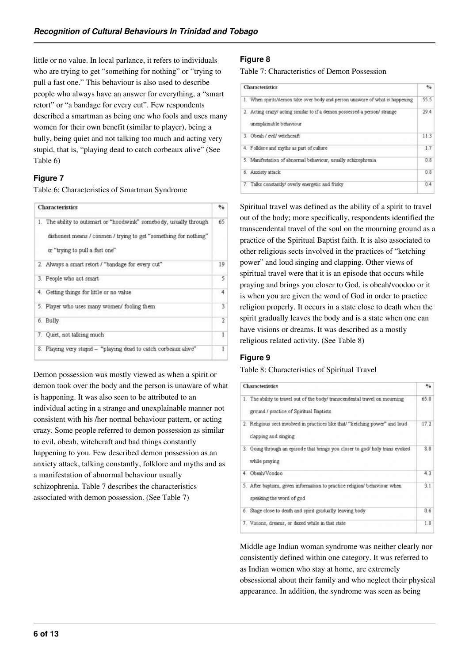little or no value. In local parlance, it refers to individuals who are trying to get "something for nothing" or "trying to pull a fast one." This behaviour is also used to describe people who always have an answer for everything, a "smart retort" or "a bandage for every cut". Few respondents described a smartman as being one who fools and uses many women for their own benefit (similar to player), being a bully, being quiet and not talking too much and acting very stupid, that is, "playing dead to catch corbeaux alive" (See Table 6)

#### **Figure 7**

Table 6: Characteristics of Smartman Syndrome

| Characteristics                                                                                                                                                          | $\frac{1}{2}$ |
|--------------------------------------------------------------------------------------------------------------------------------------------------------------------------|---------------|
| 1. The ability to outsmart or "hoodwink" somebody, usually through<br>dishonest means / conmen / trying to get "something for nothing"<br>or "trying to pull a fast one" | 65            |
| 2. Always a smart retort / "bandage for every cut"                                                                                                                       | 19            |
| 3. People who act smart                                                                                                                                                  | 5             |
| 4. Getting things for little or no value                                                                                                                                 | 4             |
| 5. Player who uses many women/ fooling them                                                                                                                              | 3             |
| 6. Bully                                                                                                                                                                 | 2             |
| 7. Quiet, not talking much                                                                                                                                               | 1             |
| 8. Playing very stupid - "playing dead to catch corbeaux alive"                                                                                                          | 1             |

Demon possession was mostly viewed as when a spirit or demon took over the body and the person is unaware of what is happening. It was also seen to be attributed to an individual acting in a strange and unexplainable manner not consistent with his /her normal behaviour pattern, or acting crazy. Some people referred to demon possession as similar to evil, obeah, witchcraft and bad things constantly happening to you. Few described demon possession as an anxiety attack, talking constantly, folklore and myths and as a manifestation of abnormal behaviour usually schizophrenia. Table 7 describes the characteristics associated with demon possession. (See Table 7)

#### **Figure 8**

Table 7: Characteristics of Demon Possession

| <b>Characteristics</b>                                                                               | %    |
|------------------------------------------------------------------------------------------------------|------|
| 1. When spirits/demon take over body and person unaware of what is happening                         | 55.5 |
| 2. Acting crazy/ acting similar to if a demon possessed a person/ strange<br>unexplainable behaviour | 29.4 |
| 3. Obeah / evil/ witchcraft                                                                          | 11.3 |
| 4. Folklore and myths as part of culture                                                             | 1.7  |
| 5. Manifestation of abnormal behaviour, usually schizophrenia                                        | 0.8  |
| 6. Anxiety attack                                                                                    | 0.8  |
| 7. Talks constantly/overly energetic and frisky                                                      | 0.4  |

Spiritual travel was defined as the ability of a spirit to travel out of the body; more specifically, respondents identified the transcendental travel of the soul on the mourning ground as a practice of the Spiritual Baptist faith. It is also associated to other religious sects involved in the practices of "ketching power" and loud singing and clapping. Other views of spiritual travel were that it is an episode that occurs while praying and brings you closer to God, is obeah/voodoo or it is when you are given the word of God in order to practice religion properly. It occurs in a state close to death when the spirit gradually leaves the body and is a state when one can have visions or dreams. It was described as a mostly religious related activity. (See Table 8)

### **Figure 9**

Table 8: Characteristics of Spiritual Travel

| <b>Characteristics</b>                                                                                                  | $^{0/6}$ |
|-------------------------------------------------------------------------------------------------------------------------|----------|
| 1. The ability to travel out of the body/ transcendental travel on mourning<br>ground / practice of Spiritual Baptists. | 65.0     |
| 2. Religious sect involved in practices like that/ "ketching power" and loud<br>clapping and singing                    | 17.2     |
| 3. Going through an episode that brings you closer to god/ holy trans evoked<br>while praying                           | 8.0      |
| 4. Obeah/Voodoo                                                                                                         | 4.3      |
| 5. After baptism, given information to practice religion/ behaviour when<br>speaking the word of god                    | 3.1      |
| Stage close to death and spirit gradually leaving body<br>б.                                                            | 0.6      |
| 7. Visions, dreams, or dazed while in that state                                                                        | 1.8      |

Middle age Indian woman syndrome was neither clearly nor consistently defined within one category. It was referred to as Indian women who stay at home, are extremely obsessional about their family and who neglect their physical appearance. In addition, the syndrome was seen as being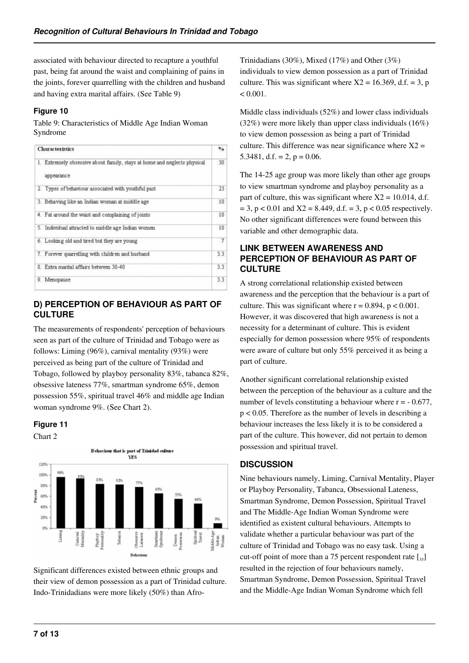associated with behaviour directed to recapture a youthful past, being fat around the waist and complaining of pains in the joints, forever quarrelling with the children and husband and having extra marital affairs. (See Table 9)

### **Figure 10**

Table 9: Characteristics of Middle Age Indian Woman Syndrome

| <b>Characteristics</b>                                                                 | %                 |
|----------------------------------------------------------------------------------------|-------------------|
| 1. Extremely obsessive about family, stays at home and neglects physical<br>appearance | 30                |
| 2. Types of behaviour associated with youthful past                                    | 23                |
| 3. Behaving like an Indian woman at middle age                                         | 10                |
| 4. Fat around the waist and complaining of joints                                      | 10                |
| 5. Individual attracted to middle age Indian women                                     | 10                |
| 6. Looking old and tired but they are young                                            | $\overline{\tau}$ |
| 7. Forever quarrelling with children and husband                                       | 3.3               |
| 8. Extra marital affairs between 30-40                                                 | 3.3               |
| 9. Menopause                                                                           | 3.3               |

### **D) PERCEPTION OF BEHAVIOUR AS PART OF CULTURE**

The measurements of respondents' perception of behaviours seen as part of the culture of Trinidad and Tobago were as follows: Liming (96%), carnival mentality (93%) were perceived as being part of the culture of Trinidad and Tobago, followed by playboy personality 83%, tabanca 82%, obsessive lateness 77%, smartman syndrome 65%, demon possession 55%, spiritual travel 46% and middle age Indian woman syndrome 9%. (See Chart 2).

#### **Figure 11**

Chart 2



Significant differences existed between ethnic groups and their view of demon possession as a part of Trinidad culture. Indo-Trinidadians were more likely (50%) than AfroTrinidadians (30%), Mixed (17%) and Other (3%) individuals to view demon possession as a part of Trinidad culture. This was significant where  $X2 = 16.369$ , d.f. = 3, p  $< 0.001$ .

Middle class individuals (52%) and lower class individuals (32%) were more likely than upper class individuals (16%) to view demon possession as being a part of Trinidad culture. This difference was near significance where  $X2 =$ 5.3481, d.f.  $= 2$ ,  $p = 0.06$ .

The 14-25 age group was more likely than other age groups to view smartman syndrome and playboy personality as a part of culture, this was significant where  $X2 = 10.014$ , d.f.  $= 3$ , p < 0.01 and X2 = 8.449, d.f. = 3, p < 0.05 respectively. No other significant differences were found between this variable and other demographic data.

### **LINK BETWEEN AWARENESS AND PERCEPTION OF BEHAVIOUR AS PART OF CULTURE**

A strong correlational relationship existed between awareness and the perception that the behaviour is a part of culture. This was significant where  $r = 0.894$ ,  $p < 0.001$ . However, it was discovered that high awareness is not a necessity for a determinant of culture. This is evident especially for demon possession where 95% of respondents were aware of culture but only 55% perceived it as being a part of culture.

Another significant correlational relationship existed between the perception of the behaviour as a culture and the number of levels constituting a behaviour where  $r = -0.677$ , p < 0.05. Therefore as the number of levels in describing a behaviour increases the less likely it is to be considered a part of the culture. This however, did not pertain to demon possession and spiritual travel.

### **DISCUSSION**

Nine behaviours namely, Liming, Carnival Mentality, Player or Playboy Personality, Tabanca, Obsessional Lateness, Smartman Syndrome, Demon Possession, Spiritual Travel and The Middle-Age Indian Woman Syndrome were identified as existent cultural behaviours. Attempts to validate whether a particular behaviour was part of the culture of Trinidad and Tobago was no easy task. Using a cut-off point of more than a 75 percent respondent rate  $\left[\frac{1}{35}\right]$ resulted in the rejection of four behaviours namely, Smartman Syndrome, Demon Possession, Spiritual Travel and the Middle-Age Indian Woman Syndrome which fell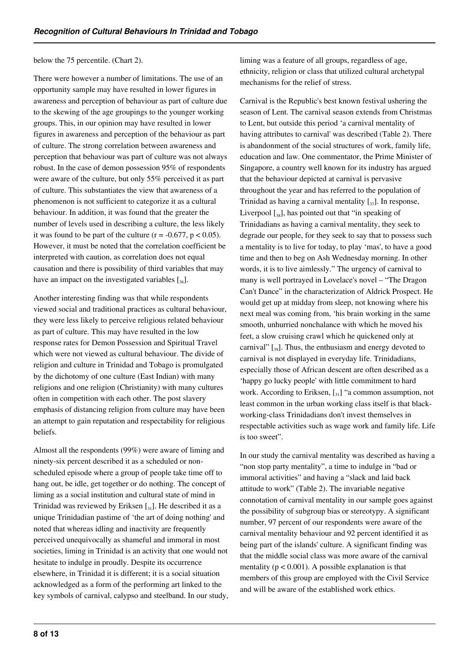#### below the 75 percentile. (Chart 2).

There were however a number of limitations. The use of an opportunity sample may have resulted in lower figures in awareness and perception of behaviour as part of culture due to the skewing of the age groupings to the younger working groups. This, in our opinion may have resulted in lower figures in awareness and perception of the behaviour as part of culture. The strong correlation between awareness and perception that behaviour was part of culture was not always robust. In the case of demon possession 95% of respondents were aware of the culture, but only 55% perceived it as part of culture. This substantiates the view that awareness of a phenomenon is not sufficient to categorize it as a cultural behaviour. In addition, it was found that the greater the number of levels used in describing a culture, the less likely it was found to be part of the culture  $(r = -0.677, p < 0.05)$ . However, it must be noted that the correlation coefficient be interpreted with caution, as correlation does not equal causation and there is possibility of third variables that may have an impact on the investigated variables  $[36]$ .

Another interesting finding was that while respondents viewed social and traditional practices as cultural behaviour, they were less likely to perceive religious related behaviour as part of culture. This may have resulted in the low response rates for Demon Possession and Spiritual Travel which were not viewed as cultural behaviour. The divide of religion and culture in Trinidad and Tobago is promulgated by the dichotomy of one culture (East Indian) with many religions and one religion (Christianity) with many cultures often in competition with each other. The post slavery emphasis of distancing religion from culture may have been an attempt to gain reputation and respectability for religious beliefs.

Almost all the respondents (99%) were aware of liming and ninety-six percent described it as a scheduled or nonscheduled episode where a group of people take time off to hang out, be idle, get together or do nothing. The concept of liming as a social institution and cultural state of mind in Trinidad was reviewed by Eriksen  $\left[\begin{smallmatrix}31\end{smallmatrix}\right]$ . He described it as a unique Trinidadian pastime of 'the art of doing nothing' and noted that whereas idling and inactivity are frequently perceived unequivocally as shameful and immoral in most societies, liming in Trinidad is an activity that one would not hesitate to indulge in proudly. Despite its occurrence elsewhere, in Trinidad it is different; it is a social situation acknowledged as a form of the performing art linked to the key symbols of carnival, calypso and steelband. In our study, liming was a feature of all groups, regardless of age, ethnicity, religion or class that utilized cultural archetypal mechanisms for the relief of stress.

Carnival is the Republic's best known festival ushering the season of Lent. The carnival season extends from Christmas to Lent, but outside this period 'a carnival mentality of having attributes to carnival' was described (Table 2). There is abandonment of the social structures of work, family life, education and law. One commentator, the Prime Minister of Singapore, a country well known for its industry has argued that the behaviour depicted at carnival is pervasive throughout the year and has referred to the population of Trinidad as having a carnival mentality  $\left[\begin{smallmatrix} 5 \\ 37 \end{smallmatrix}\right]$ . In response, Liverpool  $\left[ \begin{smallmatrix} 38 \end{smallmatrix} \right]$ , has pointed out that "in speaking of Trinidadians as having a carnival mentality, they seek to degrade our people, for they seek to say that to possess such a mentality is to live for today, to play 'mas', to have a good time and then to beg on Ash Wednesday morning. In other words, it is to live aimlessly." The urgency of carnival to many is well portrayed in Lovelace's novel – "The Dragon Can't Dance" in the characterization of Aldrick Prospect. He would get up at midday from sleep, not knowing where his next meal was coming from, 'his brain working in the same smooth, unhurried nonchalance with which he moved his feet, a slow cruising crawl which he quickened only at carnival"  $\left[ \begin{smallmatrix} 39 \end{smallmatrix} \right]$ . Thus, the enthusiasm and energy devoted to carnival is not displayed in everyday life. Trinidadians, especially those of African descent are often described as a 'happy go lucky people' with little commitment to hard work. According to Eriksen,  $\left[\begin{smallmatrix} 1 \\ 31 \end{smallmatrix}\right]$  "a common assumption, not least common in the urban working class itself is that blackworking-class Trinidadians don't invest themselves in respectable activities such as wage work and family life. Life is too sweet".

In our study the carnival mentality was described as having a "non stop party mentality", a time to indulge in "bad or immoral activities" and having a "slack and laid back attitude to work" (Table 2). The invariable negative connotation of carnival mentality in our sample goes against the possibility of subgroup bias or stereotypy. A significant number, 97 percent of our respondents were aware of the carnival mentality behaviour and 92 percent identified it as being part of the islands' culture. A significant finding was that the middle social class was more aware of the carnival mentality ( $p < 0.001$ ). A possible explanation is that members of this group are employed with the Civil Service and will be aware of the established work ethics.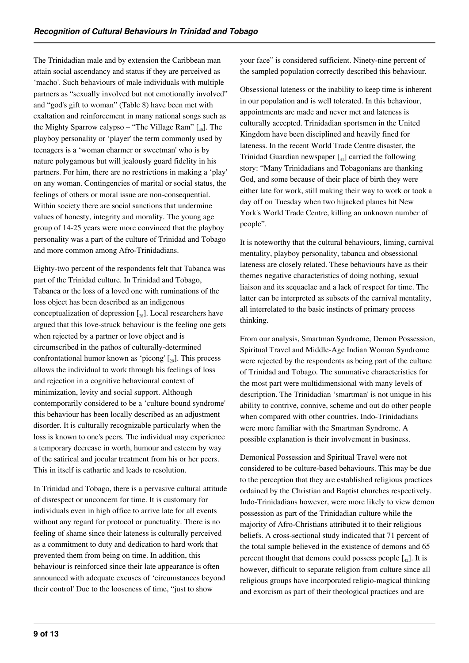The Trinidadian male and by extension the Caribbean man attain social ascendancy and status if they are perceived as 'macho'. Such behaviours of male individuals with multiple partners as "sexually involved but not emotionally involved" and "god's gift to woman" (Table 8) have been met with exaltation and reinforcement in many national songs such as the Mighty Sparrow calypso – "The Village Ram"  $\left[ \begin{smallmatrix} 1 & 0 \\ 0 & 1 \end{smallmatrix} \right]$ . The playboy personality or 'player' the term commonly used by teenagers is a 'woman charmer or sweetman' who is by nature polygamous but will jealously guard fidelity in his partners. For him, there are no restrictions in making a 'play' on any woman. Contingencies of marital or social status, the feelings of others or moral issue are non-consequential. Within society there are social sanctions that undermine values of honesty, integrity and morality. The young age group of 14-25 years were more convinced that the playboy personality was a part of the culture of Trinidad and Tobago and more common among Afro-Trinidadians.

Eighty-two percent of the respondents felt that Tabanca was part of the Trinidad culture. In Trinidad and Tobago, Tabanca or the loss of a loved one with ruminations of the loss object has been described as an indigenous conceptualization of depression  $\left[\right]_{28}$ . Local researchers have argued that this love-struck behaviour is the feeling one gets when rejected by a partner or love object and is circumscribed in the pathos of culturally-determined confrontational humor known as 'picong'  $\lceil_{29}\rceil$ . This process allows the individual to work through his feelings of loss and rejection in a cognitive behavioural context of minimization, levity and social support. Although contemporarily considered to be a 'culture bound syndrome' this behaviour has been locally described as an adjustment disorder. It is culturally recognizable particularly when the loss is known to one's peers. The individual may experience a temporary decrease in worth, humour and esteem by way of the satirical and jocular treatment from his or her peers. This in itself is cathartic and leads to resolution.

In Trinidad and Tobago, there is a pervasive cultural attitude of disrespect or unconcern for time. It is customary for individuals even in high office to arrive late for all events without any regard for protocol or punctuality. There is no feeling of shame since their lateness is culturally perceived as a commitment to duty and dedication to hard work that prevented them from being on time. In addition, this behaviour is reinforced since their late appearance is often announced with adequate excuses of 'circumstances beyond their control' Due to the looseness of time, "just to show

your face" is considered sufficient. Ninety-nine percent of the sampled population correctly described this behaviour.

Obsessional lateness or the inability to keep time is inherent in our population and is well tolerated. In this behaviour, appointments are made and never met and lateness is culturally accepted. Trinidadian sportsmen in the United Kingdom have been disciplined and heavily fined for lateness. In the recent World Trade Centre disaster, the Trinidad Guardian newspaper  $\left[\begin{smallmatrix} 4\\4 \end{smallmatrix}\right]$  carried the following story: "Many Trinidadians and Tobagonians are thanking God, and some because of their place of birth they were either late for work, still making their way to work or took a day off on Tuesday when two hijacked planes hit New York's World Trade Centre, killing an unknown number of people".

It is noteworthy that the cultural behaviours, liming, carnival mentality, playboy personality, tabanca and obsessional lateness are closely related. These behaviours have as their themes negative characteristics of doing nothing, sexual liaison and its sequaelae and a lack of respect for time. The latter can be interpreted as subsets of the carnival mentality, all interrelated to the basic instincts of primary process thinking.

From our analysis, Smartman Syndrome, Demon Possession, Spiritual Travel and Middle-Age Indian Woman Syndrome were rejected by the respondents as being part of the culture of Trinidad and Tobago. The summative characteristics for the most part were multidimensional with many levels of description. The Trinidadian 'smartman' is not unique in his ability to contrive, connive, scheme and out do other people when compared with other countries. Indo-Trinidadians were more familiar with the Smartman Syndrome. A possible explanation is their involvement in business.

Demonical Possession and Spiritual Travel were not considered to be culture-based behaviours. This may be due to the perception that they are established religious practices ordained by the Christian and Baptist churches respectively. Indo-Trinidadians however, were more likely to view demon possession as part of the Trinidadian culture while the majority of Afro-Christians attributed it to their religious beliefs. A cross-sectional study indicated that 71 percent of the total sample believed in the existence of demons and 65 percent thought that demons could possess people  $\lbrack_4\rbrack$ . It is however, difficult to separate religion from culture since all religious groups have incorporated religio-magical thinking and exorcism as part of their theological practices and are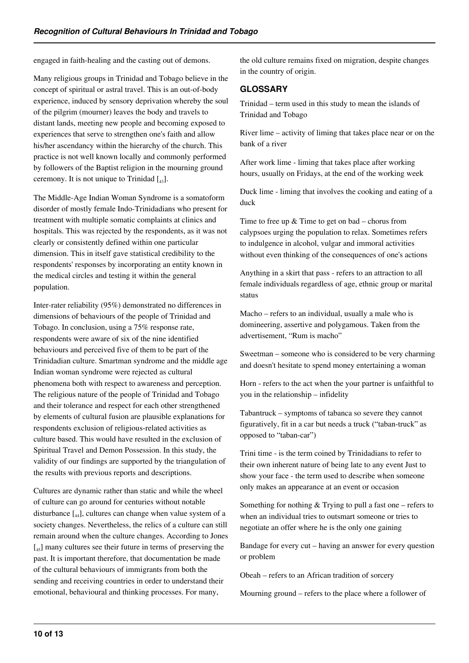engaged in faith-healing and the casting out of demons.

Many religious groups in Trinidad and Tobago believe in the concept of spiritual or astral travel. This is an out-of-body experience, induced by sensory deprivation whereby the soul of the pilgrim (mourner) leaves the body and travels to distant lands, meeting new people and becoming exposed to experiences that serve to strengthen one's faith and allow his/her ascendancy within the hierarchy of the church. This practice is not well known locally and commonly performed by followers of the Baptist religion in the mourning ground ceremony. It is not unique to Trinidad  $\left[ \begin{smallmatrix} 4 & 3 \end{smallmatrix} \right]$ .

The Middle-Age Indian Woman Syndrome is a somatoform disorder of mostly female Indo-Trinidadians who present for treatment with multiple somatic complaints at clinics and hospitals. This was rejected by the respondents, as it was not clearly or consistently defined within one particular dimension. This in itself gave statistical credibility to the respondents' responses by incorporating an entity known in the medical circles and testing it within the general population.

Inter-rater reliability (95%) demonstrated no differences in dimensions of behaviours of the people of Trinidad and Tobago. In conclusion, using a 75% response rate, respondents were aware of six of the nine identified behaviours and perceived five of them to be part of the Trinidadian culture. Smartman syndrome and the middle age Indian woman syndrome were rejected as cultural phenomena both with respect to awareness and perception. The religious nature of the people of Trinidad and Tobago and their tolerance and respect for each other strengthened by elements of cultural fusion are plausible explanations for respondents exclusion of religious-related activities as culture based. This would have resulted in the exclusion of Spiritual Travel and Demon Possession. In this study, the validity of our findings are supported by the triangulation of the results with previous reports and descriptions.

Cultures are dynamic rather than static and while the wheel of culture can go around for centuries without notable disturbance  $\left[\begin{smallmatrix} 4 & 4 \end{smallmatrix}\right]$ , cultures can change when value system of a society changes. Nevertheless, the relics of a culture can still remain around when the culture changes. According to Jones  $\begin{bmatrix} 45 \end{bmatrix}$  many cultures see their future in terms of preserving the past. It is important therefore, that documentation be made of the cultural behaviours of immigrants from both the sending and receiving countries in order to understand their emotional, behavioural and thinking processes. For many,

the old culture remains fixed on migration, despite changes in the country of origin.

### **GLOSSARY**

Trinidad – term used in this study to mean the islands of Trinidad and Tobago

River lime – activity of liming that takes place near or on the bank of a river

After work lime - liming that takes place after working hours, usually on Fridays, at the end of the working week

Duck lime - liming that involves the cooking and eating of a duck

Time to free up  $&$  Time to get on bad – chorus from calypsoes urging the population to relax. Sometimes refers to indulgence in alcohol, vulgar and immoral activities without even thinking of the consequences of one's actions

Anything in a skirt that pass - refers to an attraction to all female individuals regardless of age, ethnic group or marital status

Macho – refers to an individual, usually a male who is domineering, assertive and polygamous. Taken from the advertisement, "Rum is macho"

Sweetman – someone who is considered to be very charming and doesn't hesitate to spend money entertaining a woman

Horn - refers to the act when the your partner is unfaithful to you in the relationship – infidelity

Tabantruck – symptoms of tabanca so severe they cannot figuratively, fit in a car but needs a truck ("taban-truck" as opposed to "taban-car")

Trini time - is the term coined by Trinidadians to refer to their own inherent nature of being late to any event Just to show your face - the term used to describe when someone only makes an appearance at an event or occasion

Something for nothing  $&$  Trying to pull a fast one – refers to when an individual tries to outsmart someone or tries to negotiate an offer where he is the only one gaining

Bandage for every cut – having an answer for every question or problem

Obeah – refers to an African tradition of sorcery

Mourning ground – refers to the place where a follower of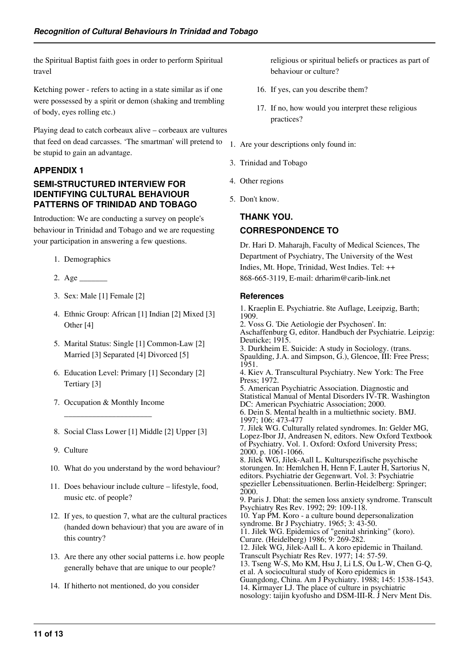the Spiritual Baptist faith goes in order to perform Spiritual travel

Ketching power - refers to acting in a state similar as if one were possessed by a spirit or demon (shaking and trembling of body, eyes rolling etc.)

Playing dead to catch corbeaux alive – corbeaux are vultures that feed on dead carcasses. 'The smartman' will pretend to be stupid to gain an advantage.

### **APPENDIX 1**

### **SEMI-STRUCTURED INTERVIEW FOR IDENTIFYING CULTURAL BEHAVIOUR PATTERNS OF TRINIDAD AND TOBAGO**

Introduction: We are conducting a survey on people's behaviour in Trinidad and Tobago and we are requesting your participation in answering a few questions.

- 1. Demographics
- 2. Age \_\_\_\_\_\_\_
- 3. Sex: Male [1] Female [2]
- 4. Ethnic Group: African [1] Indian [2] Mixed [3] Other [4]
- 5. Marital Status: Single [1] Common-Law [2] Married [3] Separated [4] Divorced [5]
- 6. Education Level: Primary [1] Secondary [2] Tertiary [3]
- 7. Occupation & Monthly Income \_\_\_\_\_\_\_\_\_\_\_\_\_\_\_\_\_\_\_\_\_\_
- 8. Social Class Lower [1] Middle [2] Upper [3]
- 9. Culture
- 10. What do you understand by the word behaviour?
- 11. Does behaviour include culture lifestyle, food, music etc. of people?
- 12. If yes, to question 7, what are the cultural practices (handed down behaviour) that you are aware of in this country?
- 13. Are there any other social patterns i.e. how people generally behave that are unique to our people?
- 14. If hitherto not mentioned, do you consider

religious or spiritual beliefs or practices as part of behaviour or culture?

- 16. If yes, can you describe them?
- 17. If no, how would you interpret these religious practices?
- 1. Are your descriptions only found in:
- 3. Trinidad and Tobago
- 4. Other regions
- 5. Don't know.

## **THANK YOU.**

### **CORRESPONDENCE TO**

Dr. Hari D. Maharajh, Faculty of Medical Sciences, The Department of Psychiatry, The University of the West Indies, Mt. Hope, Trinidad, West Indies. Tel: ++ 868-665-3119, E-mail: drharim@carib-link.net

#### **References**

1. Kraeplin E. Psychiatrie. 8te Auflage, Leeipzig, Barth; 1909. 2. Voss G. 'Die Aetiologie der Psychosen'. In: Aschaffenburg G, editor. Handbuch der Psychiatrie. Leipzig: Deuticke; 1915. 3. Durkheim E. Suicide: A study in Sociology. (trans. Spaulding, J.A. and Simpson, G.), Glencoe, III: Free Press; 1951. 4. Kiev A. Transcultural Psychiatry. New York: The Free Press; 1972. 5. American Psychiatric Association. Diagnostic and Statistical Manual of Mental Disorders IV-TR. Washington DC: American Psychiatric Association; 2000. 6. Dein S. Mental health in a multiethnic society. BMJ. 1997; 106: 473-477 7. Jilek WG. Culturally related syndromes. In: Gelder MG, Lopez-Ibor JJ, Andreasen N, editors. New Oxford Textbook of Psychiatry. Vol. 1. Oxford: Oxford University Press; 2000. p. 1061-1066. 8. Jilek WG, Jilek-Aall L. Kulturspezifische psychische storungen. In: Hemlchen H, Henn F, Lauter H, Sartorius N, editors. Psychiatrie der Gegenwart. Vol. 3: Psychiatrie spezieller Lebenssituationen. Berlin-Heidelberg: Springer; 2000. 9. Paris J. Dhat: the semen loss anxiety syndrome. Transcult Psychiatry Res Rev. 1992; 29: 109-118. 10. Yap PM. Koro - a culture bound depersonalization syndrome. Br J Psychiatry. 1965; 3: 43-50. 11. Jilek WG. Epidemics of "genital shrinking" (koro). Curare. (Heidelberg) 1986; 9: 269-282. 12. Jilek WG, Jilek-Aall L. A koro epidemic in Thailand. Transcult Psychiatr Res Rev. 1977; 14: 57-59. 13. Tseng W-S, Mo KM, Hsu J, Li LS, Ou L-W, Chen G-Q, et al. A sociocultural study of Koro epidemics in Guangdong, China. Am J Psychiatry. 1988; 145: 1538-1543. 14. Kirmayer LJ. The place of culture in psychiatric nosology: taijin kyofusho and DSM-III-R. J Nerv Ment Dis.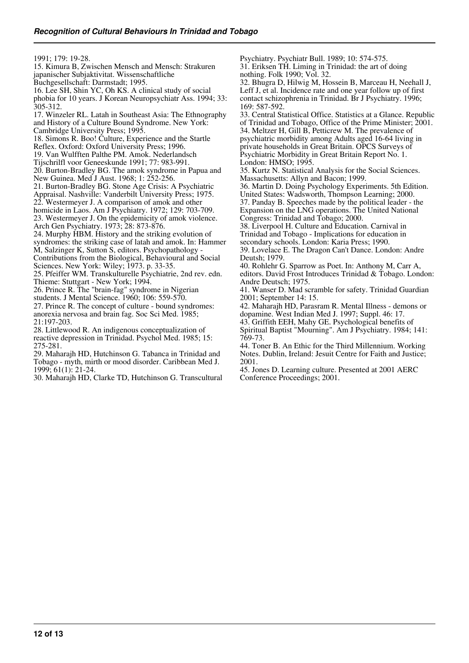1991; 179: 19-28. 15. Kimura B, Zwischen Mensch and Mensch: Strakuren japanischer Subjaktivitat. Wissenschaftliche Buchgesellschaft: Darmstadt; 1995.

16. Lee SH, Shin YC, Oh KS. A clinical study of social phobia for 10 years. J Korean Neuropsychiatr Ass. 1994; 33: 305-312.

17. Winzeler RL. Latah in Southeast Asia: The Ethnography and History of a Culture Bound Syndrome. New York: Cambridge University Press; 1995.

18. Simons R. Boo! Culture, Experience and the Startle Reflex. Oxford: Oxford University Press; 1996. 19. Van Wulfften Palthe PM. Amok. Nederlandsch Tijschrilfl voor Geneeskunde 1991; 77: 983-991. 20. Burton-Bradley BG. The amok syndrome in Papua and

New Guinea. Med J Aust. 1968; 1: 252-256.

21. Burton-Bradley BG. Stone Age Crisis: A Psychiatric Appraisal. Nashville: Vanderbilt University Press; 1975.

22. Westermeyer J. A comparison of amok and other

homicide in Laos. Am J Psychiatry. 1972; 129: 703-709.

23. Westermeyer J. On the epidemicity of amok violence. Arch Gen Psychiatry. 1973; 28: 873-876.

24. Murphy HBM. History and the striking evolution of syndromes: the striking case of latah and amok. In: Hammer M, Salzinger K, Sutton S, editors. Psychopathology -

Contributions from the Biological, Behavioural and Social

Sciences. New York: Wiley; 1973. p. 33-35.

25. Pfeiffer WM. Transkulturelle Psychiatrie, 2nd rev. edn. Thieme: Stuttgart - New York; 1994.

26. Prince R. The "brain-fag" syndrome in Nigerian

students. J Mental Science. 1960; 106: 559-570.

27. Prince R. The concept of culture - bound syndromes: anorexia nervosa and brain fag. Soc Sci Med. 1985; 21:197-203.

28. Littlewood R. An indigenous conceptualization of reactive depression in Trinidad. Psychol Med. 1985; 15: 275-281.

29. Maharajh HD, Hutchinson G. Tabanca in Trinidad and Tobago - myth, mirth or mood disorder. Caribbean Med J. 1999; 61(1): 21-24.

30. Maharajh HD, Clarke TD, Hutchinson G. Transcultural

Psychiatry. Psychiatr Bull. 1989; 10: 574-575. 31. Eriksen TH. Liming in Trinidad: the art of doing nothing. Folk 1990; Vol. 32.

32. Bhugra D, Hilwig M, Hossein B, Marceau H, Neehall J, Leff J, et al. Incidence rate and one year follow up of first contact schizophrenia in Trinidad. Br J Psychiatry. 1996; 169: 587-592.

33. Central Statistical Office. Statistics at a Glance. Republic of Trinidad and Tobago, Office of the Prime Minister; 2001. 34. Meltzer H, Gill B, Petticrew M. The prevalence of psychiatric morbidity among Adults aged 16-64 living in private households in Great Britain. OPCS Surveys of Psychiatric Morbidity in Great Britain Report No. 1. London: HMSO; 1995.

35. Kurtz N. Statistical Analysis for the Social Sciences. Massachusetts: Allyn and Bacon; 1999.

36. Martin D. Doing Psychology Experiments. 5th Edition. United States: Wadsworth, Thompson Learning; 2000.

37. Panday B. Speeches made by the political leader - the Expansion on the LNG operations. The United National Congress: Trinidad and Tobago; 2000.

38. Liverpool H. Culture and Education. Carnival in Trinidad and Tobago - Implications for education in

secondary schools. London: Karia Press; 1990.

39. Lovelace E. The Dragon Can't Dance. London: Andre Deutsh; 1979.

40. Rohlehr G. Sparrow as Poet. In: Anthony M, Carr A, editors. David Frost Introduces Trinidad & Tobago. London: Andre Deutsch; 1975.

41. Wanser D. Mad scramble for safety. Trinidad Guardian 2001; September 14: 15.

42. Maharajh HD, Parasram R. Mental Illness - demons or dopamine. West Indian Med J. 1997; Suppl. 46: 17.

43. Griffith EEH, Mahy GE. Psychological benefits of Spiritual Baptist "Mourning". Am J Psychiatry. 1984; 141: 769-73.

44. Toner B. An Ethic for the Third Millennium. Working Notes. Dublin, Ireland: Jesuit Centre for Faith and Justice; 2001.

45. Jones D. Learning culture. Presented at 2001 AERC Conference Proceedings; 2001.